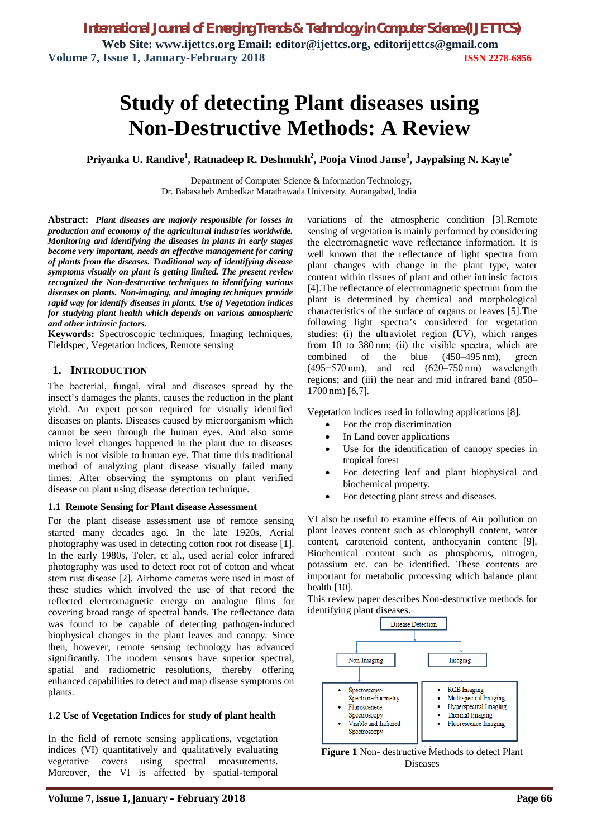# **Study of detecting Plant diseases using Non-Destructive Methods: A Review**

**Priyanka U. Randive<sup>1</sup> , Ratnadeep R. Deshmukh<sup>2</sup> , Pooja Vinod Janse<sup>3</sup> , Jaypalsing N. Kayte\***

Department of Computer Science & Information Technology, Dr. Babasaheb Ambedkar Marathawada University, Aurangabad, India

**Abstract:** *Plant diseases are majorly responsible for losses in production and economy of the agricultural industries worldwide. Monitoring and identifying the diseases in plants in early stages become very important, needs an effective management for caring of plants from the diseases. Traditional way of identifying disease symptoms visually on plant is getting limited. The present review recognized the Non-destructive techniques to identifying various diseases on plants. Non-imaging, and imaging techniques provide rapid way for identify diseases in plants. Use of Vegetation indices for studying plant health which depends on various atmospheric and other intrinsic factors.*

**Keywords:** Spectroscopic techniques, Imaging techniques, Fieldspec, Vegetation indices, Remote sensing

## **1. INTRODUCTION**

The bacterial, fungal, viral and diseases spread by the insect's damages the plants, causes the reduction in the plant yield. An expert person required for visually identified diseases on plants. Diseases caused by microorganism which cannot be seen through the human eyes. And also some micro level changes happened in the plant due to diseases which is not visible to human eye. That time this traditional method of analyzing plant disease visually failed many times. After observing the symptoms on plant verified disease on plant using disease detection technique.

#### **1.1 Remote Sensing for Plant disease Assessment**

For the plant disease assessment use of remote sensing started many decades ago. In the late 1920s, Aerial photography was used in detecting cotton root rot disease [1]. In the early 1980s, Toler, et al., used aerial color infrared photography was used to detect root rot of cotton and wheat stem rust disease [2]. Airborne cameras were used in most of these studies which involved the use of that record the reflected electromagnetic energy on analogue films for covering broad range of spectral bands. The reflectance data was found to be capable of detecting pathogen-induced biophysical changes in the plant leaves and canopy. Since then, however, remote sensing technology has advanced significantly. The modern sensors have superior spectral, spatial and radiometric resolutions, thereby offering enhanced capabilities to detect and map disease symptoms on plants.

#### **1.2 Use of Vegetation Indices for study of plant health**

In the field of remote sensing applications, vegetation indices (VI) quantitatively and qualitatively evaluating vegetative covers using spectral measurements. Moreover, the VI is affected by spatial-temporal

variations of the atmospheric condition [3].Remote sensing of vegetation is mainly performed by considering the electromagnetic wave reflectance information. It is well known that the reflectance of light spectra from plant changes with change in the plant type, water content within tissues of plant and other intrinsic factors [4].The reflectance of electromagnetic spectrum from the plant is determined by chemical and morphological characteristics of the surface of organs or leaves [5].The following light spectra's considered for vegetation studies: (i) the ultraviolet region (UV), which ranges from 10 to 380 nm; (ii) the visible spectra, which are combined of the blue (450–495 nm), green (495−570 nm), and red (620–750 nm) wavelength regions; and (iii) the near and mid infrared band (850– 1700 nm) [6,7].

Vegetation indices used in following applications [8].

- For the crop discrimination
- In Land cover applications
- Use for the identification of canopy species in tropical forest
- For detecting leaf and plant biophysical and biochemical property.
- For detecting plant stress and diseases.

VI also be useful to examine effects of Air pollution on plant leaves content such as chlorophyll content, water content, carotenoid content, anthocyanin content [9]. Biochemical content such as phosphorus, nitrogen, potassium etc. can be identified. These contents are important for metabolic processing which balance plant health  $[10]$ .

This review paper describes Non-destructive methods for identifying plant diseases.



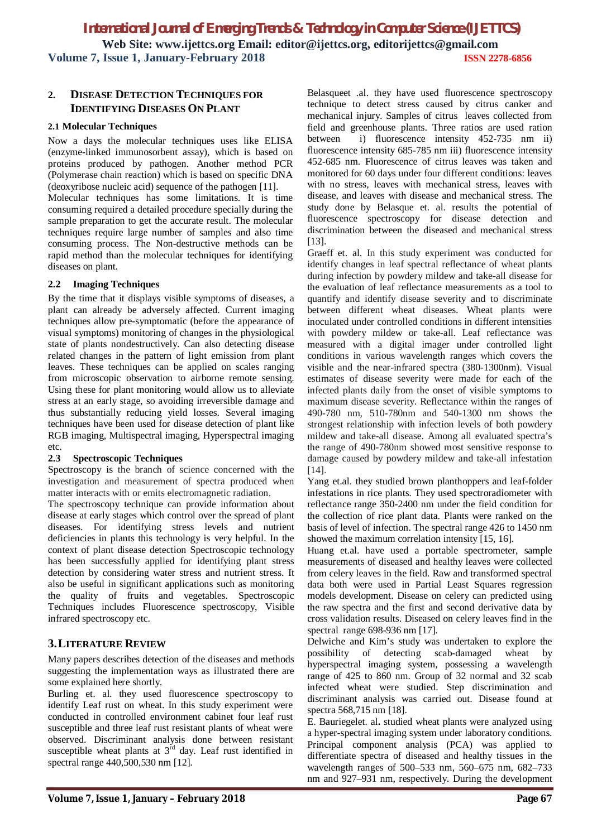## **2. DISEASE DETECTION TECHNIQUES FOR IDENTIFYING DISEASES ON PLANT**

#### **2.1 Molecular Techniques**

Now a days the molecular techniques uses like ELISA (enzyme-linked immunosorbent assay), which is based on proteins produced by pathogen. Another method PCR (Polymerase chain reaction) which is based on specific DNA (deoxyribose nucleic acid) sequence of the pathogen [11].

Molecular techniques has some limitations. It is time consuming required a detailed procedure specially during the sample preparation to get the accurate result. The molecular techniques require large number of samples and also time consuming process. The Non-destructive methods can be rapid method than the molecular techniques for identifying diseases on plant.

## **2.2 Imaging Techniques**

By the time that it displays visible symptoms of diseases, a plant can already be adversely affected. Current imaging techniques allow pre-symptomatic (before the appearance of visual symptoms) monitoring of changes in the physiological state of plants nondestructively. Can also detecting disease related changes in the pattern of light emission from plant leaves. These techniques can be applied on scales ranging from microscopic observation to airborne remote sensing. Using these for plant monitoring would allow us to alleviate stress at an early stage, so avoiding irreversible damage and thus substantially reducing yield losses. Several imaging techniques have been used for disease detection of plant like RGB imaging, Multispectral imaging, Hyperspectral imaging etc.

#### **2.3 Spectroscopic Techniques**

Spectroscopy is the branch of science concerned with the investigation and measurement of spectra produced when matter interacts with or emits electromagnetic radiation.

The spectroscopy technique can provide information about disease at early stages which control over the spread of plant diseases. For identifying stress levels and nutrient deficiencies in plants this technology is very helpful. In the context of plant disease detection Spectroscopic technology has been successfully applied for identifying plant stress detection by considering water stress and nutrient stress. It also be useful in significant applications such as monitoring the quality of fruits and vegetables. Spectroscopic Techniques includes Fluorescence spectroscopy, Visible infrared spectroscopy etc.

## **3.LITERATURE REVIEW**

Many papers describes detection of the diseases and methods suggesting the implementation ways as illustrated there are some explained here shortly.

Burling et. al. they used fluorescence spectroscopy to identify Leaf rust on wheat. In this study experiment were conducted in controlled environment cabinet four leaf rust susceptible and three leaf rust resistant plants of wheat were observed. Discriminant analysis done between resistant susceptible wheat plants at  $3<sup>rd</sup>$  day. Leaf rust identified in spectral range 440,500,530 nm [12].

Belasqueet .al. they have used fluorescence spectroscopy technique to detect stress caused by citrus canker and mechanical injury. Samples of citrus leaves collected from field and greenhouse plants. Three ratios are used ration between i) fluorescence intensity 452-735 nm ii) fluorescence intensity 685-785 nm iii) fluorescence intensity 452-685 nm. Fluorescence of citrus leaves was taken and monitored for 60 days under four different conditions: leaves with no stress, leaves with mechanical stress, leaves with disease, and leaves with disease and mechanical stress. The study done by Belasque et. al. results the potential of fluorescence spectroscopy for disease detection and discrimination between the diseased and mechanical stress [13].

Graeff et. al. In this study experiment was conducted for identify changes in leaf spectral reflectance of wheat plants during infection by powdery mildew and take-all disease for the evaluation of leaf reflectance measurements as a tool to quantify and identify disease severity and to discriminate between different wheat diseases. Wheat plants were inoculated under controlled conditions in different intensities with powdery mildew or take-all. Leaf reflectance was measured with a digital imager under controlled light conditions in various wavelength ranges which covers the visible and the near-infrared spectra (380-1300nm). Visual estimates of disease severity were made for each of the infected plants daily from the onset of visible symptoms to maximum disease severity. Reflectance within the ranges of 490-780 nm, 510-780nm and 540-1300 nm shows the strongest relationship with infection levels of both powdery mildew and take-all disease. Among all evaluated spectra's the range of 490-780nm showed most sensitive response to damage caused by powdery mildew and take-all infestation [14].

Yang et.al. they studied brown planthoppers and leaf-folder infestations in rice plants. They used spectroradiometer with reflectance range 350-2400 nm under the field condition for the collection of rice plant data. Plants were ranked on the basis of level of infection. The spectral range 426 to 1450 nm showed the maximum correlation intensity [15, 16].

Huang et.al. have used a portable spectrometer, sample measurements of diseased and healthy leaves were collected from celery leaves in the field. Raw and transformed spectral data both were used in Partial Least Squares regression models development. Disease on celery can predicted using the raw spectra and the first and second derivative data by cross validation results. Diseased on celery leaves find in the spectral range 698-936 nm [17].

Delwiche and Kim's study was undertaken to explore the possibility of detecting scab-damaged wheat by hyperspectral imaging system, possessing a wavelength range of 425 to 860 nm. Group of 32 normal and 32 scab infected wheat were studied. Step discrimination and discriminant analysis was carried out. Disease found at spectra 568,715 nm [18].

E. Bauriegelet. al**.** studied wheat plants were analyzed using a hyper-spectral imaging system under laboratory conditions. Principal component analysis (PCA) was applied to differentiate spectra of diseased and healthy tissues in the wavelength ranges of 500–533 nm, 560–675 nm, 682–733 nm and 927–931 nm, respectively. During the development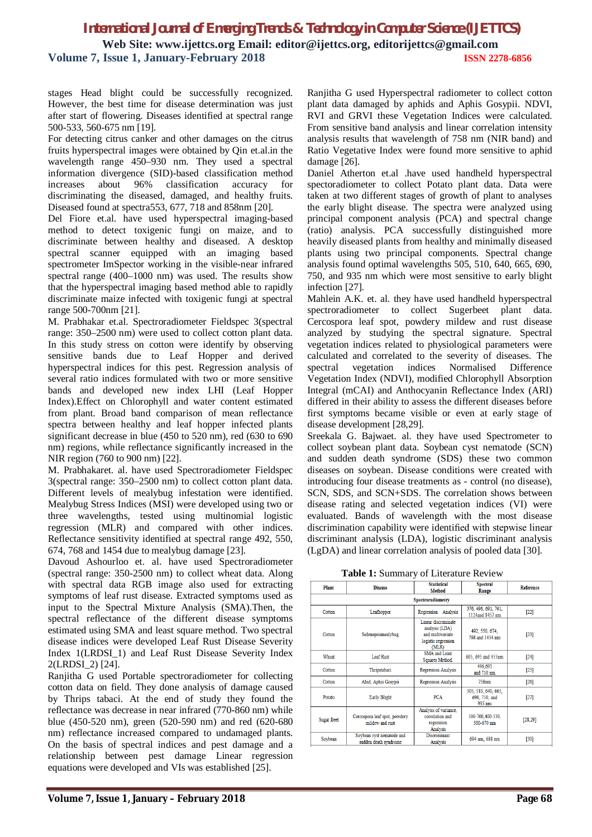stages Head blight could be successfully recognized. However, the best time for disease determination was just after start of flowering. Diseases identified at spectral range 500-533, 560-675 nm [19].

For detecting citrus canker and other damages on the citrus fruits hyperspectral images were obtained by Qin et.al.in the wavelength range 450–930 nm. They used a spectral information divergence (SID)-based classification method increases about 96% classification accuracy for discriminating the diseased, damaged, and healthy fruits. Diseased found at spectra553, 677, 718 and 858nm [20].

Del Fiore et.al. have used hyperspectral imaging-based method to detect toxigenic fungi on maize, and to discriminate between healthy and diseased. A desktop spectral scanner equipped with an imaging based spectrometer ImSpector working in the visible-near infrared spectral range (400–1000 nm) was used. The results show that the hyperspectral imaging based method able to rapidly discriminate maize infected with toxigenic fungi at spectral range 500-700nm [21].

M. Prabhakar et.al. Spectroradiometer Fieldspec 3(spectral range: 350–2500 nm) were used to collect cotton plant data. In this study stress on cotton were identify by observing sensitive bands due to Leaf Hopper and derived hyperspectral indices for this pest. Regression analysis of several ratio indices formulated with two or more sensitive bands and developed new index LHI (Leaf Hopper Index).Effect on Chlorophyll and water content estimated from plant. Broad band comparison of mean reflectance spectra between healthy and leaf hopper infected plants significant decrease in blue (450 to 520 nm), red (630 to 690 nm) regions, while reflectance significantly increased in the NIR region (760 to 900 nm) [22].

M. Prabhakaret. al. have used Spectroradiometer Fieldspec 3(spectral range: 350–2500 nm) to collect cotton plant data. Different levels of mealybug infestation were identified. Mealybug Stress Indices (MSI) were developed using two or three wavelengths, tested using multinomial logistic regression (MLR) and compared with other indices. Reflectance sensitivity identified at spectral range 492, 550, 674, 768 and 1454 due to mealybug damage [23].

Davoud Ashourloo et. al. have used Spectroradiometer (spectral range: 350-2500 nm) to collect wheat data. Along with spectral data RGB image also used for extracting symptoms of leaf rust disease. Extracted symptoms used as input to the Spectral Mixture Analysis (SMA).Then, the spectral reflectance of the different disease symptoms estimated using SMA and least square method. Two spectral disease indices were developed Leaf Rust Disease Severity Index 1(LRDSI\_1) and Leaf Rust Disease Severity Index 2(LRDSI\_2) [24].

Ranjitha G used Portable spectroradiometer for collecting cotton data on field. They done analysis of damage caused by Thrips tabaci. At the end of study they found the reflectance was decrease in near infrared (770-860 nm) while blue (450-520 nm), green (520-590 nm) and red (620-680 nm) reflectance increased compared to undamaged plants. On the basis of spectral indices and pest damage and a relationship between pest damage Linear regression equations were developed and VIs was established [25].

Ranjitha G used Hyperspectral radiometer to collect cotton plant data damaged by aphids and Aphis Gosypii. NDVI, RVI and GRVI these Vegetation Indices were calculated. From sensitive band analysis and linear correlation intensity analysis results that wavelength of 758 nm (NIR band) and Ratio Vegetative Index were found more sensitive to aphid damage [26].

Daniel Atherton et.al .have used handheld hyperspectral spectoradiometer to collect Potato plant data. Data were taken at two different stages of growth of plant to analyses the early blight disease. The spectra were analyzed using principal component analysis (PCA) and spectral change (ratio) analysis. PCA successfully distinguished more heavily diseased plants from healthy and minimally diseased plants using two principal components. Spectral change analysis found optimal wavelengths 505, 510, 640, 665, 690, 750, and 935 nm which were most sensitive to early blight infection [27].

Mahlein A.K. et. al. they have used handheld hyperspectral spectroradiometer to collect Sugerbeet plant data. Cercospora leaf spot, powdery mildew and rust disease analyzed by studying the spectral signature. Spectral vegetation indices related to physiological parameters were calculated and correlated to the severity of diseases. The spectral vegetation indices Normalised Difference Vegetation Index (NDVI), modified Chlorophyll Absorption Integral (mCAI) and Anthocyanin Reflectance Index (ARI) differed in their ability to assess the different diseases before first symptoms became visible or even at early stage of disease development [28,29].

Sreekala G. Bajwaet. al. they have used Spectrometer to collect soybean plant data. Soybean cyst nematode (SCN) and sudden death syndrome (SDS) these two common diseases on soybean. Disease conditions were created with introducing four disease treatments as - control (no disease), SCN, SDS, and SCN+SDS. The correlation shows between disease rating and selected vegetation indices (VI) were evaluated. Bands of wavelength with the most disease discrimination capability were identified with stepwise linear discriminant analysis (LDA), logistic discriminant analysis (LgDA) and linear correlation analysis of pooled data [30].

**Table 1:** Summary of Literature Review

| <b>Plant</b>      | <b>Disease</b>                                     | <b>Statistical</b><br><b>Method</b>                                                     | <b>Spectral</b><br>Range                       | <b>Reference</b> |
|-------------------|----------------------------------------------------|-----------------------------------------------------------------------------------------|------------------------------------------------|------------------|
|                   |                                                    | Spectroradiometry                                                                       |                                                |                  |
| Cotton            | Leafhopper                                         | Regression Analysis                                                                     | 376, 496, 691, 761,<br>1124and 1457 nm         | $[22]$           |
| Cotton            | Solenopsismealybug                                 | Linear discriminate<br>analysis (LDA)<br>and multivariate<br>logistic regression<br>MLR | 492, 550, 674,<br>768 and 1454 nm              | $[23]$           |
| Wheat             | <b>Leaf Rust</b>                                   | <b>SMA</b> and Least<br>Squares Method.                                                 | 605, 695 and 455nm                             | $[24]$           |
| Cotton            | Thripstabaci                                       | <b>Regression Analysis</b>                                                              | 496,691<br>and 710 nm                          | $[25]$           |
| Cotton            | Ahid, Aphis Gosypii                                | <b>Regression Analysis</b>                                                              | <b>758nm</b>                                   | [26]             |
| Potato            | <b>Early Blight</b>                                | <b>PCA</b>                                                                              | 505, 510, 640, 665,<br>690, 750, and<br>935 nm | $[27]$           |
| <b>Sugar Beet</b> | Cercospora leaf spot, powdery<br>mildew and rust   | Analysis of variance,<br>correlation and<br>regression<br>Analysis                      | 500-700.400-530.<br>500-670 nm                 | [28, 29]         |
| Soybean           | Soybean cyst nematode and<br>sudden death syndrome | <b>Discriminant</b><br>Analysis                                                         | 694 nm, 688 nm                                 | [30]             |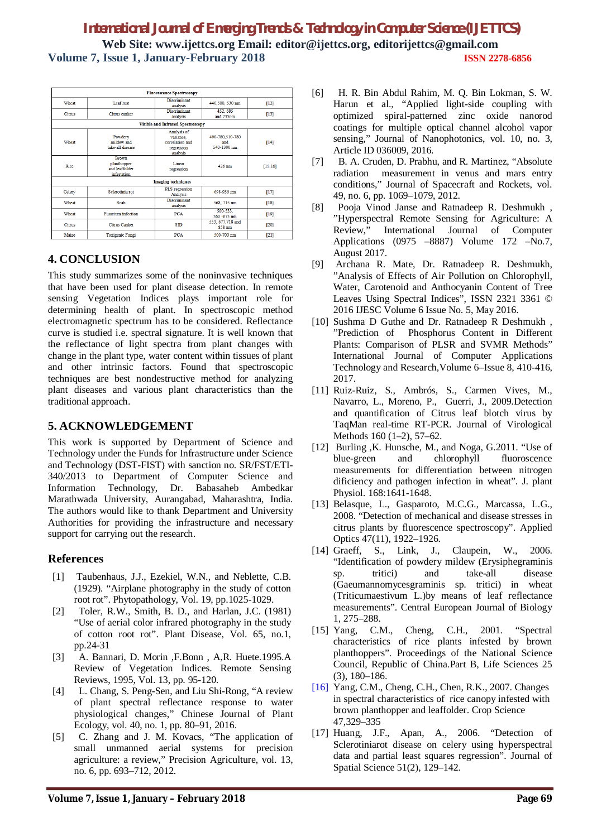|        |                                                              | <b>Fluorescence Spectroscopy</b>                                      |                                       |          |
|--------|--------------------------------------------------------------|-----------------------------------------------------------------------|---------------------------------------|----------|
| Wheat  | Leaf rust                                                    | <b>Discriminant</b><br>analysis                                       | 440,500, 530 nm                       | $[12]$   |
| Citrus | Citrus canker                                                | <b>Discriminant</b><br>analysis                                       | 452.685<br>and 735nm                  | $[13]$   |
|        |                                                              | <b>Visible and Infrared Spectroscopy</b>                              |                                       |          |
| Wheat  | Powdery<br>mildew and<br>take-all disease                    | Analysis of<br>variance.<br>correlation and<br>regression<br>analysis | 490-780.510-780<br>and<br>540-1300 nm | $[14]$   |
| Rice   | <b>Brown</b><br>planthopper<br>and leaffolder<br>infestation | Linear<br>regression                                                  | $426$ nm                              | [15, 16] |
|        |                                                              | <b>Imaging techniques</b>                                             |                                       |          |
| Celery | Sclerotinia rot                                              | PLS regression<br>Analysis                                            | 698-936 nm                            | $[17]$   |
| Wheat  | Scab                                                         | Discriminant<br>analysis                                              | 568, 715 nm                           | $[18]$   |
| Wheat  | <b>Fusarium</b> infection                                    | <b>PCA</b>                                                            | 500-533.<br>560 -675 nm               | $[19]$   |
| Citrus | Citrus Canker                                                | <b>SID</b>                                                            | 553, 677, 718 and<br>858 nm           | $[20]$   |
| Maize  | <b>Toxigenic Fungi</b>                                       | <b>PCA</b>                                                            | 500-700 nm                            | $[21]$   |

# **4. CONCLUSION**

This study summarizes some of the noninvasive techniques that have been used for plant disease detection. In remote sensing Vegetation Indices plays important role for determining health of plant. In spectroscopic method electromagnetic spectrum has to be considered. Reflectance curve is studied i.e. spectral signature. It is well known that the reflectance of light spectra from plant changes with change in the plant type, water content within tissues of plant and other intrinsic factors. Found that spectroscopic techniques are best nondestructive method for analyzing plant diseases and various plant characteristics than the traditional approach.

## **5. ACKNOWLEDGEMENT**

This work is supported by Department of Science and Technology under the Funds for Infrastructure under Science and Technology (DST-FIST) with sanction no. SR/FST/ETI-340/2013 to Department of Computer Science and Information Technology, Dr. Babasaheb Ambedkar Marathwada University, Aurangabad, Maharashtra, India. The authors would like to thank Department and University Authorities for providing the infrastructure and necessary support for carrying out the research.

## **References**

- [1] Taubenhaus, J.J., Ezekiel, W.N., and Neblette, C.B. (1929). "Airplane photography in the study of cotton root rot". Phytopathology, Vol. 19, pp.1025-1029.
- [2] Toler, R.W., Smith, B. D., and Harlan, J.C. (1981) "Use of aerial color infrared photography in the study of cotton root rot". Plant Disease, Vol. 65, no.1, pp.24-31
- [3] A. Bannari, D. Morin ,F.Bonn , A,R. Huete.1995.A Review of Vegetation Indices. Remote Sensing Reviews, 1995, Vol. 13, pp. 95-120.
- [4] L. Chang, S. Peng-Sen, and Liu Shi-Rong, "A review" of plant spectral reflectance response to water physiological changes," Chinese Journal of Plant Ecology, vol. 40, no. 1, pp. 80–91, 2016.
- [5] C. Zhang and J. M. Kovacs, "The application of small unmanned aerial systems for precision agriculture: a review," Precision Agriculture, vol. 13, no. 6, pp. 693–712, 2012.
- [6] H. R. Bin Abdul Rahim, M. Q. Bin Lokman, S. W. Harun et al., "Applied light-side coupling with optimized spiral-patterned zinc oxide nanorod coatings for multiple optical channel alcohol vapor sensing," Journal of Nanophotonics, vol. 10, no. 3, Article ID 036009, 2016.
- [7] B. A. Cruden, D. Prabhu, and R. Martinez, "Absolute radiation measurement in venus and mars entry conditions," Journal of Spacecraft and Rockets, vol. 49, no. 6, pp. 1069–1079, 2012.
- [8] Pooja Vinod Janse and Ratnadeep R. Deshmukh , "Hyperspectral Remote Sensing for Agriculture: A Review," International Journal of Computer Applications (0975 –8887) Volume 172 –No.7, August 2017.
- [9] Archana R. Mate, Dr. Ratnadeep R. Deshmukh, "Analysis of Effects of Air Pollution on Chlorophyll, Water, Carotenoid and Anthocyanin Content of Tree Leaves Using Spectral Indices", ISSN 2321 3361 © 2016 IJESC Volume 6 Issue No. 5, May 2016.
- [10] Sushma D Guthe and Dr. Ratnadeep R Deshmukh, "Prediction of Phosphorus Content in Different Plants: Comparison of PLSR and SVMR Methods" International Journal of Computer Applications Technology and Research,Volume 6–Issue 8, 410-416, 2017.
- [11] Ruiz-Ruiz, S., Ambrós, S., Carmen Vives, M., Navarro, L., Moreno, P., Guerri, J., 2009.Detection and quantification of Citrus leaf blotch virus by TaqMan real-time RT-PCR. Journal of Virological Methods 160 (1–2), 57–62.
- [12] Burling , K. Hunsche, M., and Noga, G.2011. "Use of blue-green and chlorophyll fluoroscence measurements for differentiation between nitrogen dificiency and pathogen infection in wheat". J. plant Physiol. 168:1641-1648.
- [13] Belasque, L., Gasparoto, M.C.G., Marcassa, L.G., 2008. "Detection of mechanical and disease stresses in citrus plants by fluorescence spectroscopy". Applied Optics 47(11), 1922–1926.
- [14] Graeff, S., Link, J., Claupein, W., 2006. "Identification of powdery mildew (Erysiphegraminis sp. tritici) and take-all disease (Gaeumannomycesgraminis sp. tritici) in wheat (Triticumaestivum L.)by means of leaf reflectance measurements". Central European Journal of Biology 1, 275–288.
- [15] Yang, C.M., Cheng, C.H., 2001. "Spectral characteristics of rice plants infested by brown planthoppers". Proceedings of the National Science Council, Republic of China.Part B, Life Sciences 25 (3), 180–186.
- [16] Yang, C.M., Cheng, C.H., Chen, R.K., 2007. Changes in spectral characteristics of rice canopy infested with brown planthopper and leaffolder. Crop Science 47,329–335
- [17] Huang, J.F., Apan, A., 2006. "Detection of Sclerotiniarot disease on celery using hyperspectral data and partial least squares regression". Journal of Spatial Science 51(2), 129–142.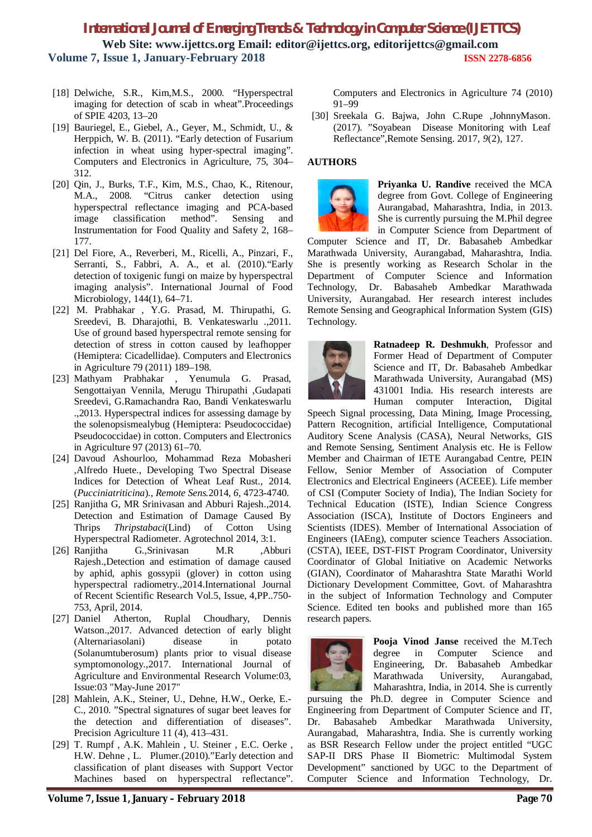- [18] Delwiche, S.R., Kim,M.S., 2000. "Hyperspectral imaging for detection of scab in wheat".Proceedings of SPIE 4203, 13–20
- [19] Bauriegel, E., Giebel, A., Geyer, M., Schmidt, U., & Herppich, W. B. (2011). "Early detection of Fusarium infection in wheat using hyper-spectral imaging". Computers and Electronics in Agriculture, 75, 304– 312.
- [20] Qin, J., Burks, T.F., Kim, M.S., Chao, K., Ritenour, M.A., 2008. "Citrus canker detection using hyperspectral reflectance imaging and PCA-based image classification method". Sensing and Instrumentation for Food Quality and Safety 2, 168– 177.
- [21] Del Fiore, A., Reverberi, M., Ricelli, A., Pinzari, F., Serranti, S., Fabbri, A. A., et al. (2010)."Early detection of toxigenic fungi on maize by hyperspectral imaging analysis". International Journal of Food Microbiology, 144(1), 64–71.
- [22] M. Prabhakar , Y.G. Prasad, M. Thirupathi, G. Sreedevi, B. Dharajothi, B. Venkateswarlu .,2011. Use of ground based hyperspectral remote sensing for detection of stress in cotton caused by leafhopper (Hemiptera: Cicadellidae). Computers and Electronics in Agriculture 79 (2011) 189–198.
- [23] Mathyam Prabhakar , Yenumula G. Prasad, Sengottaiyan Vennila, Merugu Thirupathi ,Gudapati Sreedevi, G.Ramachandra Rao, Bandi Venkateswarlu .,2013. Hyperspectral indices for assessing damage by the solenopsismealybug (Hemiptera: Pseudococcidae) Pseudococcidae) in cotton. Computers and Electronics in Agriculture 97 (2013) 61–70.
- [24] Davoud Ashourloo, Mohammad Reza Mobasheri ,Alfredo Huete., Developing Two Spectral Disease Indices for Detection of Wheat Leaf Rust., 2014. (*Pucciniatriticina*)., *Remote Sens.*2014, *6*, 4723-4740.
- [25] Ranjitha G, MR Srinivasan and Abburi Rajesh., 2014. Detection and Estimation of Damage Caused By Thrips *Thripstabaci*(Lind) of Cotton Using Hyperspectral Radiometer. Agrotechnol 2014, 3:1.
- [26] Ranjitha G.,Srinivasan M.R ,Abburi Rajesh.,Detection and estimation of damage caused by aphid, aphis gossypii (glover) in cotton using hyperspectral radiometry.,2014.International Journal of Recent Scientific Research Vol.5, Issue, 4,PP..750- 753, April, 2014.
- [27] Daniel Atherton, Ruplal Choudhary, Dennis Watson.,2017. Advanced detection of early blight (Alternariasolani) disease in potato (Solanumtuberosum) plants prior to visual disease symptomonology.,2017. International Journal of Agriculture and Environmental Research Volume:03, Issue:03 "May-June 2017"
- [28] Mahlein, A.K., Steiner, U., Dehne, H.W., Oerke, E.- C., 2010. "Spectral signatures of sugar beet leaves for the detection and differentiation of diseases". Precision Agriculture 11 (4), 413–431.
- [29] T. Rumpf , A.K. Mahlein , U. Steiner , E.C. Oerke , H.W. Dehne , L. Plumer.(2010)."Early detection and classification of plant diseases with Support Vector Machines based on hyperspectral reflectance".

Computers and Electronics in Agriculture 74 (2010) 91–99

[30] Sreekala G. Bajwa, John C.Rupe ,JohnnyMason. (2017). "Soyabean Disease Monitoring with Leaf Reflectance",Remote Sensing. 2017, *9*(2), 127.

### **AUTHORS**



**Priyanka U. Randive** received the MCA degree from Govt. College of Engineering Aurangabad, Maharashtra, India, in 2013. She is currently pursuing the M.Phil degree in Computer Science from Department of

Computer Science and IT, Dr. Babasaheb Ambedkar Marathwada University, Aurangabad, Maharashtra, India. She is presently working as Research Scholar in the Department of Computer Science and Information Technology, Dr. Babasaheb Ambedkar Marathwada University, Aurangabad. Her research interest includes Remote Sensing and Geographical Information System (GIS) Technology.



**Ratnadeep R. Deshmukh**, Professor and Former Head of Department of Computer Science and IT, Dr. Babasaheb Ambedkar Marathwada University, Aurangabad (MS) 431001 India. His research interests are Human computer Interaction, Digital

Speech Signal processing, Data Mining, Image Processing, Pattern Recognition, artificial Intelligence, Computational Auditory Scene Analysis (CASA), Neural Networks, GIS and Remote Sensing, Sentiment Analysis etc. He is Fellow Member and Chairman of IETE Aurangabad Centre, PEIN Fellow, Senior Member of Association of Computer Electronics and Electrical Engineers (ACEEE). Life member of CSI (Computer Society of India), The Indian Society for Technical Education (ISTE), Indian Science Congress Association (ISCA), Institute of Doctors Engineers and Scientists (IDES). Member of International Association of Engineers (IAEng), computer science Teachers Association. (CSTA), IEEE, DST-FIST Program Coordinator, University Coordinator of Global Initiative on Academic Networks (GIAN), Coordinator of Maharashtra State Marathi World Dictionary Development Committee, Govt. of Maharashtra in the subject of Information Technology and Computer Science. Edited ten books and published more than 165 research papers.



**Pooja Vinod Janse** received the M.Tech degree in Computer Science and Engineering, Dr. Babasaheb Ambedkar Marathwada University, Aurangabad, Maharashtra, India, in 2014. She is currently

pursuing the Ph.D. degree in Computer Science and Engineering from Department of Computer Science and IT, Dr. Babasaheb Ambedkar Marathwada University, Aurangabad, Maharashtra, India. She is currently working as BSR Research Fellow under the project entitled "UGC SAP-II DRS Phase II Biometric: Multimodal System Development" sanctioned by UGC to the Department of Computer Science and Information Technology, Dr.